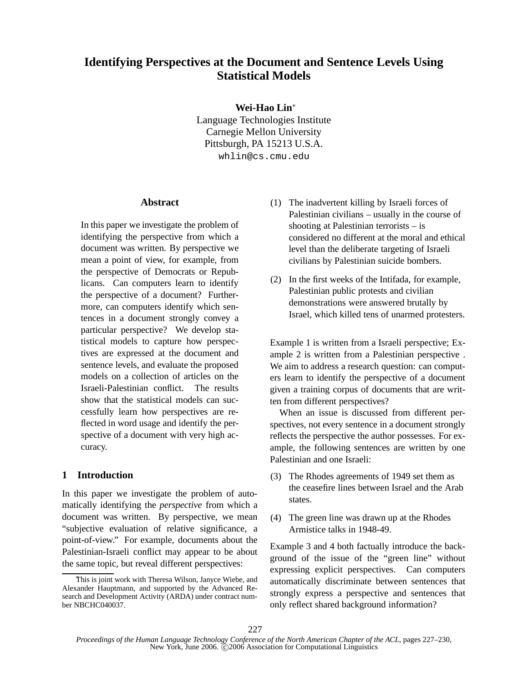# **Identifying Perspectives at the Document and Sentence Levels Using Statistical Models**

**Wei-Hao Lin**<sup>∗</sup>

Language Technologies Institute Carnegie Mellon University Pittsburgh, PA 15213 U.S.A. whlin@cs.cmu.edu

#### **Abstract**

In this paper we investigate the problem of identifying the perspective from which a document was written. By perspective we mean a point of view, for example, from the perspective of Democrats or Republicans. Can computers learn to identify the perspective of a document? Furthermore, can computers identify which sentences in a document strongly convey a particular perspective? We develop statistical models to capture how perspectives are expressed at the document and sentence levels, and evaluate the proposed models on a collection of articles on the Israeli-Palestinian conflict. The results show that the statistical models can successfully learn how perspectives are reflected in word usage and identify the perspective of a document with very high accuracy.

## **1 Introduction**

In this paper we investigate the problem of automatically identifying the *perspective* from which a document was written. By perspective, we mean "subjective evaluation of relative significance, a point-of-view." For example, documents about the Palestinian-Israeli conflict may appear to be about the same topic, but reveal different perspectives:

- (1) The inadvertent killing by Israeli forces of Palestinian civilians – usually in the course of shooting at Palestinian terrorists – is considered no different at the moral and ethical level than the deliberate targeting of Israeli civilians by Palestinian suicide bombers.
- (2) In the first weeks of the Intifada, for example, Palestinian public protests and civilian demonstrations were answered brutally by Israel, which killed tens of unarmed protesters.

Example 1 is written from a Israeli perspective; Example 2 is written from a Palestinian perspective . We aim to address a research question: can computers learn to identify the perspective of a document given a training corpus of documents that are written from different perspectives?

When an issue is discussed from different perspectives, not every sentence in a document strongly reflects the perspective the author possesses. For example, the following sentences are written by one Palestinian and one Israeli:

- (3) The Rhodes agreements of 1949 set them as the ceasefire lines between Israel and the Arab states.
- (4) The green line was drawn up at the Rhodes Armistice talks in 1948-49.

Example 3 and 4 both factually introduce the background of the issue of the "green line" without expressing explicit perspectives. Can computers automatically discriminate between sentences that strongly express a perspective and sentences that only reflect shared background information?

This is joint work with Theresa Wilson, Janyce Wiebe, and Alexander Hauptmann, and supported by the Advanced Research and Development Activity (ARDA) under contract number NBCHC040037.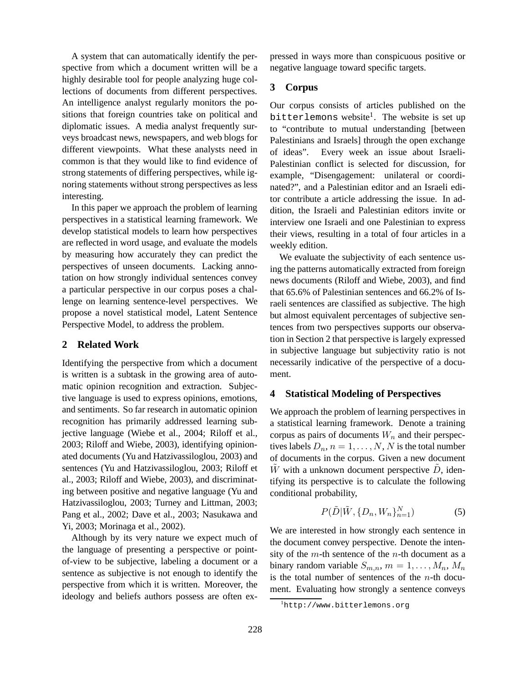A system that can automatically identify the perspective from which a document written will be a highly desirable tool for people analyzing huge collections of documents from different perspectives. An intelligence analyst regularly monitors the positions that foreign countries take on political and diplomatic issues. A media analyst frequently surveys broadcast news, newspapers, and web blogs for different viewpoints. What these analysts need in common is that they would like to find evidence of strong statements of differing perspectives, while ignoring statements without strong perspectives as less interesting.

In this paper we approach the problem of learning perspectives in a statistical learning framework. We develop statistical models to learn how perspectives are reflected in word usage, and evaluate the models by measuring how accurately they can predict the perspectives of unseen documents. Lacking annotation on how strongly individual sentences convey a particular perspective in our corpus poses a challenge on learning sentence-level perspectives. We propose a novel statistical model, Latent Sentence Perspective Model, to address the problem.

### **2 Related Work**

Identifying the perspective from which a document is written is a subtask in the growing area of automatic opinion recognition and extraction. Subjective language is used to express opinions, emotions, and sentiments. So far research in automatic opinion recognition has primarily addressed learning subjective language (Wiebe et al., 2004; Riloff et al., 2003; Riloff and Wiebe, 2003), identifying opinionated documents (Yu and Hatzivassiloglou, 2003) and sentences (Yu and Hatzivassiloglou, 2003; Riloff et al., 2003; Riloff and Wiebe, 2003), and discriminating between positive and negative language (Yu and Hatzivassiloglou, 2003; Turney and Littman, 2003; Pang et al., 2002; Dave et al., 2003; Nasukawa and Yi, 2003; Morinaga et al., 2002).

Although by its very nature we expect much of the language of presenting a perspective or pointof-view to be subjective, labeling a document or a sentence as subjective is not enough to identify the perspective from which it is written. Moreover, the ideology and beliefs authors possess are often expressed in ways more than conspicuous positive or negative language toward specific targets.

## **3 Corpus**

Our corpus consists of articles published on the bitterlemons website<sup>1</sup>. The website is set up to "contribute to mutual understanding [between Palestinians and Israels] through the open exchange of ideas". Every week an issue about Israeli-Palestinian conflict is selected for discussion, for example, "Disengagement: unilateral or coordinated?", and a Palestinian editor and an Israeli editor contribute a article addressing the issue. In addition, the Israeli and Palestinian editors invite or interview one Israeli and one Palestinian to express their views, resulting in a total of four articles in a weekly edition.

We evaluate the subjectivity of each sentence using the patterns automatically extracted from foreign news documents (Riloff and Wiebe, 2003), and find that 65.6% of Palestinian sentences and 66.2% of Israeli sentences are classified as subjective. The high but almost equivalent percentages of subjective sentences from two perspectives supports our observation in Section 2 that perspective is largely expressed in subjective language but subjectivity ratio is not necessarily indicative of the perspective of a document.

# **4 Statistical Modeling of Perspectives**

We approach the problem of learning perspectives in a statistical learning framework. Denote a training corpus as pairs of documents  $W_n$  and their perspectives labels  $D_n$ ,  $n = 1, \ldots, N$ , N is the total number of documents in the corpus. Given a new document W with a unknown document perspective  $D$ , identifying its perspective is to calculate the following conditional probability,

$$
P(\tilde{D}|\tilde{W}, \{D_n, W_n\}_{n=1}^N)
$$
 (5)

We are interested in how strongly each sentence in the document convey perspective. Denote the intensity of the  $m$ -th sentence of the  $n$ -th document as a binary random variable  $S_{m,n}$ ,  $m = 1, \ldots, M_n$ ,  $M_n$ is the total number of sentences of the  $n$ -th document. Evaluating how strongly a sentence conveys

<sup>1</sup>http://www.bitterlemons.org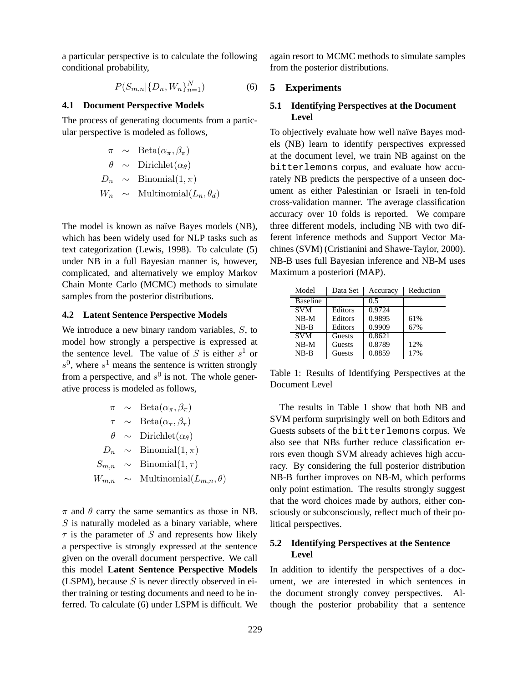a particular perspective is to calculate the following conditional probability,

$$
P(S_{m,n}|\{D_n, W_n\}_{n=1}^N) \tag{6}
$$

### **4.1 Document Perspective Models**

The process of generating documents from a particular perspective is modeled as follows,

$$
\begin{array}{rcl}\n\pi & \sim & \text{Beta}(\alpha_{\pi}, \beta_{\pi}) \\
\theta & \sim & \text{Dirichlet}(\alpha_{\theta}) \\
D_n & \sim & \text{Binomial}(1, \pi) \\
W_n & \sim & \text{Multinomial}(L_n, \theta_d)\n\end{array}
$$

The model is known as naïve Bayes models (NB), which has been widely used for NLP tasks such as text categorization (Lewis, 1998). To calculate (5) under NB in a full Bayesian manner is, however, complicated, and alternatively we employ Markov Chain Monte Carlo (MCMC) methods to simulate samples from the posterior distributions.

#### **4.2 Latent Sentence Perspective Models**

We introduce a new binary random variables, S, to model how strongly a perspective is expressed at the sentence level. The value of  $S$  is either  $s^1$  or  $s^0$ , where  $s^1$  means the sentence is written strongly from a perspective, and  $s^0$  is not. The whole generative process is modeled as follows,

$$
\begin{array}{rcl}\n\pi & \sim & \text{Beta}(\alpha_{\pi}, \beta_{\pi}) \\
\tau & \sim & \text{Beta}(\alpha_{\tau}, \beta_{\tau}) \\
\theta & \sim & \text{Dirichlet}(\alpha_{\theta}) \\
D_n & \sim & \text{Binomial}(1, \pi) \\
S_{m,n} & \sim & \text{Binomial}(1, \tau) \\
W_{m,n} & \sim & \text{Multinomial}(L_{m,n}, \theta)\n\end{array}
$$

 $\pi$  and  $\theta$  carry the same semantics as those in NB.  $S$  is naturally modeled as a binary variable, where  $\tau$  is the parameter of S and represents how likely a perspective is strongly expressed at the sentence given on the overall document perspective. We call this model **Latent Sentence Perspective Models** (LSPM), because  $S$  is never directly observed in either training or testing documents and need to be inferred. To calculate (6) under LSPM is difficult. We again resort to MCMC methods to simulate samples from the posterior distributions.

# **5 Experiments**

# **5.1 Identifying Perspectives at the Document Level**

To objectively evaluate how well naïve Bayes models (NB) learn to identify perspectives expressed at the document level, we train NB against on the bitterlemons corpus, and evaluate how accurately NB predicts the perspective of a unseen document as either Palestinian or Israeli in ten-fold cross-validation manner. The average classification accuracy over 10 folds is reported. We compare three different models, including NB with two different inference methods and Support Vector Machines (SVM) (Cristianini and Shawe-Taylor, 2000). NB-B uses full Bayesian inference and NB-M uses Maximum a posteriori (MAP).

| Model           | Data Set | Accuracy | Reduction |
|-----------------|----------|----------|-----------|
| <b>Baseline</b> |          | 0.5      |           |
| <b>SVM</b>      | Editors  | 0.9724   |           |
| $NB-M$          | Editors  | 0.9895   | 61%       |
| NB-B            | Editors  | 0.9909   | 67%       |
| <b>SVM</b>      | Guests   | 0.8621   |           |
| $NB-M$          | Guests   | 0.8789   | 12%       |
| $NB-B$          | Guests   | 0.8859   | 17%       |

Table 1: Results of Identifying Perspectives at the Document Level

The results in Table 1 show that both NB and SVM perform surprisingly well on both Editors and Guests subsets of the bitterlemons corpus. We also see that NBs further reduce classification errors even though SVM already achieves high accuracy. By considering the full posterior distribution NB-B further improves on NB-M, which performs only point estimation. The results strongly suggest that the word choices made by authors, either consciously or subconsciously, reflect much of their political perspectives.

# **5.2 Identifying Perspectives at the Sentence Level**

In addition to identify the perspectives of a document, we are interested in which sentences in the document strongly convey perspectives. Although the posterior probability that a sentence